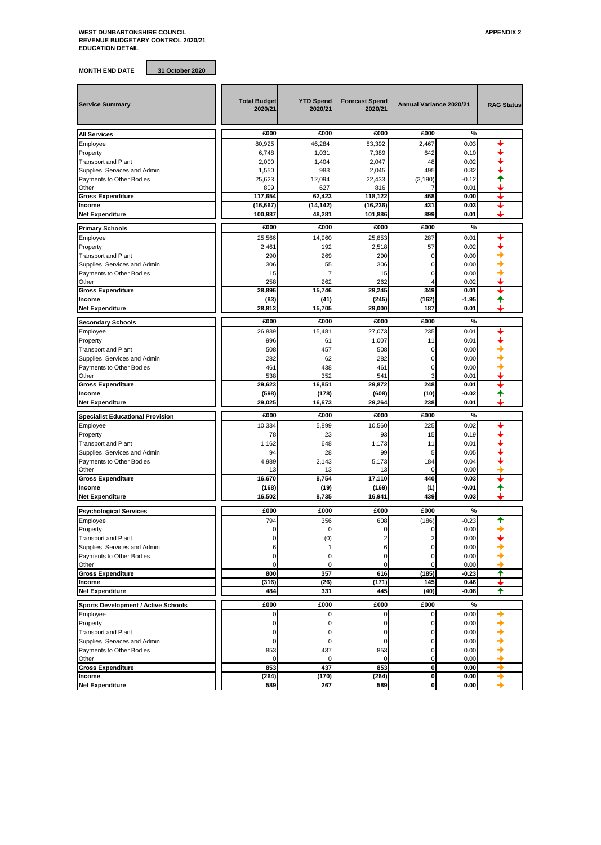## **WEST DUNBARTONSHIRE COUNCIL APPENDIX 2 REVENUE BUDGETARY CONTROL 2020/21 EDUCATION DETAIL**

**MONTH END DATE 31 October 2020**

|                                            |                                |                             |                                  | Annual Variance 2020/21 |         |                   |
|--------------------------------------------|--------------------------------|-----------------------------|----------------------------------|-------------------------|---------|-------------------|
| <b>Service Summary</b>                     | <b>Total Budget</b><br>2020/21 | <b>YTD Spend</b><br>2020/21 | <b>Forecast Spend</b><br>2020/21 |                         |         | <b>RAG Status</b> |
| All Services                               | £000                           | £000                        | £000                             | £000                    | %       |                   |
| Employee                                   | 80,925                         | 46,284                      | 83,392                           | 2,467                   | 0.03    |                   |
| Property                                   | 6,748                          | 1,031                       | 7,389                            | 642                     | 0.10    |                   |
| <b>Transport and Plant</b>                 | 2,000                          | 1,404                       | 2,047                            | 48                      | 0.02    |                   |
| Supplies, Services and Admin               | 1,550                          | 983                         | 2,045                            | 495                     | 0.32    |                   |
| Payments to Other Bodies                   | 25,623                         | 12,094                      | 22,433                           | (3, 190)                | $-0.12$ |                   |
| Other                                      | 809                            | 627                         | 816                              |                         | 0.01    |                   |
| <b>Gross Expenditure</b>                   | 117,654                        | 62,423                      | 118,122                          | 468                     | 0.00    |                   |
| Income                                     | (16, 667)                      | (14, 142)                   | (16, 236)                        | 431                     | 0.03    | J                 |
| <b>Net Expenditure</b>                     | 100,987                        | 48,281                      | 101,886                          | 899                     | 0.01    |                   |
| <b>Primary Schools</b>                     | £000                           | £000                        | £000                             | £000                    | %       |                   |
| Employee                                   | 25,566                         | 14,960                      | 25,853                           | 287                     | 0.01    |                   |
| Property                                   | 2,461                          | 192                         | 2,518                            | 57                      | 0.02    |                   |
| <b>Transport and Plant</b>                 | 290                            | 269                         | 290                              | $\Omega$                | 0.00    |                   |
| Supplies, Services and Admin               | 306                            | 55                          | 306                              | ŋ                       | 0.00    |                   |
| Payments to Other Bodies                   | 15                             |                             | 15                               | ŋ                       | 0.00    |                   |
| Other                                      | 258                            | 262                         | 262                              |                         | 0.02    |                   |
| <b>Gross Expenditure</b>                   | 28,896                         | 15,746                      | 29,245                           | 349                     | 0.01    |                   |
| Income                                     | (83)                           | (41)                        | (245)                            | (162)                   | $-1.95$ | ✦                 |
| <b>Net Expenditure</b>                     | 28,813                         | 15,705                      | 29,000                           | 187                     | 0.01    |                   |
| <b>Secondary Schools</b>                   | £000                           | £000                        | £000                             | £000                    | $\%$    |                   |
| Employee                                   | 26,839                         | 15,481                      | 27,073                           | 235                     | 0.01    |                   |
| Property                                   | 996                            | 61                          | 1,007                            | 11                      | 0.01    |                   |
| <b>Transport and Plant</b>                 | 508                            | 457                         | 508                              | O                       | 0.00    |                   |
| Supplies, Services and Admin               | 282                            | 62                          | 282                              | 0                       | 0.00    |                   |
| Payments to Other Bodies                   | 461                            | 438                         | 461                              | ŋ                       | 0.00    |                   |
| Other                                      | 538                            | 352                         | 541                              |                         | 0.01    |                   |
| <b>Gross Expenditure</b>                   | 29,623                         | 16,851                      | 29,872                           | 248                     | 0.01    |                   |
| Income                                     | (598)                          | (178)                       | (608)                            | (10)                    | -0.02   | ♠                 |
| <b>Net Expenditure</b>                     | 29,025                         | 16,673                      | 29,264                           | 238                     | 0.01    |                   |
|                                            |                                |                             |                                  |                         |         |                   |
| <b>Specialist Educational Provision</b>    | £000                           | £000                        | £000                             | £000                    | %       |                   |
| Employee                                   | 10,334                         | 5,899                       | 10,560                           | 225                     | 0.02    |                   |
| Property                                   | 78                             | 23                          | 93                               | 15                      | 0.19    |                   |
| <b>Transport and Plant</b>                 | 1,162                          | 648                         | 1,173                            | 11                      | 0.01    |                   |
| Supplies, Services and Admin               | 94                             | 28                          | 99                               | 5                       | 0.05    |                   |
| Payments to Other Bodies                   | 4,989                          | 2,143                       | 5,173                            | 184                     | 0.04    |                   |
| Other                                      | 13                             | 13                          | 13                               | $\mathbf 0$             | 0.00    |                   |
| <b>Gross Expenditure</b>                   | 16,670                         | 8,754                       | 17.110                           | 440                     | 0.03    | ı                 |
| Income                                     | (168)                          | (19)                        | (169)                            | (1)                     | -0.01   | ✦                 |
| <b>Net Expenditure</b>                     | 16,502                         | 8,735                       | 16,941                           | 439                     | 0.03    |                   |
| <b>Psychological Services</b>              | £000                           | £000                        | £000                             | £000                    | %       |                   |
| Employee                                   | 794                            | 356                         | 608                              | (186)                   | $-0.23$ | ♠                 |
| Property                                   | 0                              | $\mathbf 0$                 | 0                                | $\mathbf 0$             | 0.00    |                   |
| <b>Transport and Plant</b>                 |                                | (0)                         |                                  |                         | 0.00    |                   |
| Supplies, Services and Admin               | 6                              | 1                           | 6                                |                         | 0.00    |                   |
| Payments to Other Bodies                   |                                | 0                           | $\Omega$                         |                         | 0.00    |                   |
| Other                                      | 0                              | $\mathbf 0$                 | $\Omega$                         | $\Omega$                | 0.00    |                   |
| <b>Gross Expenditure</b>                   | 800                            | 357                         | 616                              | (185)                   | $-0.23$ | ✦                 |
| Income                                     | (316)                          | (26)                        | (171)                            | 145                     | 0.46    | ı                 |
| <b>Net Expenditure</b>                     | 484                            | 331                         | 445                              | (40)                    | $-0.08$ | ✦                 |
| <b>Sports Development / Active Schools</b> | £000                           | £000                        | £000                             | £000                    | $\%$    |                   |
| Employee                                   | 0                              | $\mathbf 0$                 | $\Omega$                         | $\Omega$                | 0.00    |                   |
| Property                                   | O                              | 0                           | 0                                | 0                       | 0.00    |                   |
| <b>Transport and Plant</b>                 | በ                              | 0                           | O                                | 0                       | 0.00    |                   |
| Supplies, Services and Admin               | 0                              | 0                           | 0                                | $\mathbf 0$             | 0.00    |                   |
| Payments to Other Bodies                   | 853                            | 437                         | 853                              | 0                       | 0.00    |                   |
| Other                                      |                                |                             |                                  |                         | 0.00    |                   |

Payments to Other Bodies **853** 437 853 0 0.00<br>Other 1990 10 0.00 0 0.00 0 0 0.00 Other 0 0 0 0 0.00

**Gross Expenditure and a set of the contract of the contract of the contract of the contract of the contract of the contract of the contract of the contract of the contract of the contract of the contract of the contract Income (264) (170) (264) 0 0.00 Net Expenditure 589 267 589 0 0.00**

| <b>AFFLITUM</b> |  |  |  |
|-----------------|--|--|--|
|                 |  |  |  |
|                 |  |  |  |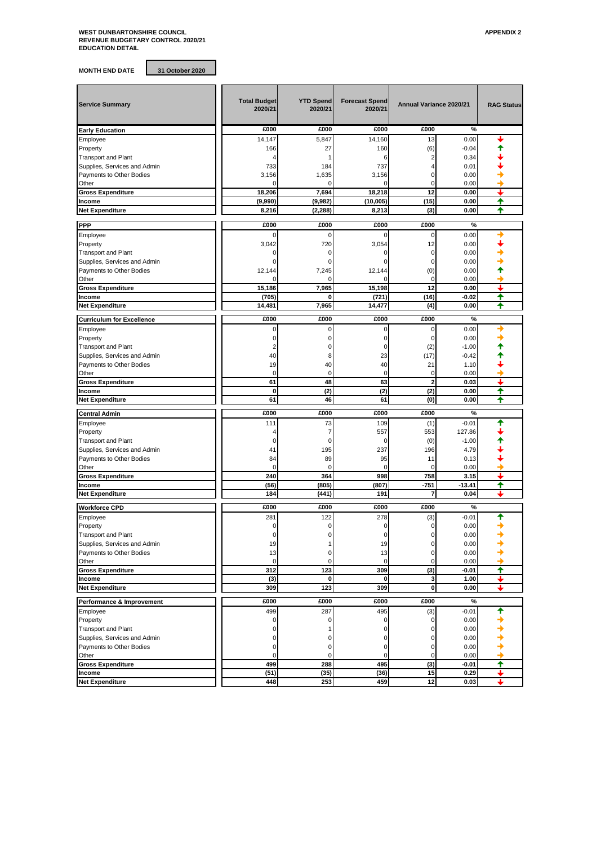## **WEST DUNBARTONSHIRE COUNCIL APPENDIX 2 REVENUE BUDGETARY CONTROL 2020/21 EDUCATION DETAIL**

**MONTH END DATE 31 October 2020**

| <b>Service Summary</b>           | <b>Total Budget</b><br>2020/21 | <b>YTD Spend</b><br>2020/21 | <b>Forecast Spend</b><br>2020/21 | Annual Variance 2020/21 |          | <b>RAG Status</b> |
|----------------------------------|--------------------------------|-----------------------------|----------------------------------|-------------------------|----------|-------------------|
| <b>Early Education</b>           | £000                           | £000                        | £000                             | £000                    | %        |                   |
| Employee                         | 14,147                         | 5,847                       | 14.160                           | 13                      | 0.00     |                   |
| Property                         | 166                            | 27                          | 160                              | (6)                     | $-0.04$  |                   |
| <b>Transport and Plant</b>       | 4                              | 1                           | 6                                | 2                       | 0.34     |                   |
| Supplies, Services and Admin     | 733                            | 184                         | 737                              | 4                       | 0.01     |                   |
| Payments to Other Bodies         | 3,156                          | 1,635                       | 3,156                            | 0                       | 0.00     |                   |
| Other                            |                                | 0                           | $\Omega$                         | 0                       | 0.00     |                   |
| <b>Gross Expenditure</b>         | 18.206                         | 7,694                       | 18,218                           | 12                      | 0.00     | ↓                 |
| Income                           | (9,990)                        | (9,982)                     | (10,005)                         | (15)                    | 0.00     | ✦                 |
| <b>Net Expenditure</b>           | 8,216                          | (2, 288)                    | 8,213                            | (3)                     | 0.00     | ♠                 |
|                                  |                                |                             |                                  |                         |          |                   |
| <b>PPP</b>                       | £000                           | £000                        | £000                             | £000                    | %        |                   |
| Employee                         |                                | 0                           | $\Omega$                         | 0                       | 0.00     |                   |
| Property                         | 3,042                          | 720                         | 3,054                            | 12                      | 0.00     |                   |
| <b>Transport and Plant</b>       | C                              | 0                           |                                  | 0                       | 0.00     |                   |
| Supplies, Services and Admin     |                                |                             |                                  | 0                       | 0.00     |                   |
| Payments to Other Bodies         | 12,144                         | 7,245                       | 12,144                           | (0)                     | 0.00     |                   |
| Other                            |                                |                             |                                  | $\mathbf 0$             | 0.00     |                   |
| <b>Gross Expenditure</b>         | 15,186                         | 7,965                       | 15,198                           | 12                      | 0.00     | ┹                 |
|                                  |                                |                             |                                  |                         |          |                   |
| Income                           | (705)                          | 0                           | (721)                            | (16)                    | -0.02    | ✦                 |
| <b>Net Expenditure</b>           | 14,481                         | 7,965                       | 14,477                           | (4)                     | 0.00     | ✦                 |
| <b>Curriculum for Excellence</b> | £000                           | £000                        | £000                             | £000                    | %        |                   |
| Employee                         | C                              | 0                           | $\mathbf 0$                      | 0                       | 0.00     |                   |
| Property                         | 0                              | $\Omega$                    | $\mathbf 0$                      | $\mathbf 0$             | 0.00     |                   |
|                                  |                                |                             | $\mathbf 0$                      |                         | $-1.00$  |                   |
| <b>Transport and Plant</b>       | 2                              |                             |                                  | (2)                     |          |                   |
| Supplies, Services and Admin     | 40                             | 8                           | 23                               | (17)                    | $-0.42$  |                   |
| Payments to Other Bodies         | 19                             | 40                          | 40                               | 21                      | 1.10     |                   |
| Other                            | $\mathbf 0$                    | $\mathbf 0$                 | $\mathbf 0$                      | 0                       | 0.00     |                   |
| <b>Gross Expenditure</b>         | 61                             | 48                          | 63                               | $\overline{2}$          | 0.03     | ı                 |
| Income                           | 0                              | (2)                         | (2)                              | (2)                     | 0.00     | ♠                 |
| <b>Net Expenditure</b>           | 61                             | 46                          | 61                               | (0)                     | 0.00     | ✦                 |
| <b>Central Admin</b>             | £000                           | £000                        | £000                             | £000                    | %        |                   |
| Employee                         | 111                            | 73                          | 109                              | (1)                     | $-0.01$  |                   |
| Property                         | 4                              | 7                           | 557                              | 553                     | 127.86   |                   |
|                                  | C                              |                             |                                  |                         |          |                   |
| <b>Transport and Plant</b>       |                                | 0                           | 0                                | (0)                     | $-1.00$  |                   |
| Supplies, Services and Admin     | 41                             | 195                         | 237                              | 196                     | 4.79     |                   |
| Payments to Other Bodies         | 84                             | 89                          | 95                               | 11                      | 0.13     |                   |
| Other                            | $\Omega$                       | 0                           | $\Omega$                         | $\mathbf 0$             | 0.00     |                   |
| <b>Gross Expenditure</b>         | 240                            | 364                         | 998                              | 758                     | 3.15     | ┹                 |
| Income                           | (56)                           | (805)                       | (807)                            | $-751$                  | $-13.41$ | ♠                 |
| <b>Net Expenditure</b>           | 184                            | (441)                       | 191                              | 7                       | 0.04     | ┻                 |
| <b>Workforce CPD</b>             | £000                           | £000                        | £000                             | £000                    | %        |                   |
| Employee                         | 281                            | 122                         | 278                              | (3)                     | $-0.01$  | ♠                 |
|                                  |                                |                             |                                  |                         |          |                   |
| Property                         | C                              |                             | 0                                |                         | 0.00     |                   |
| <b>Transport and Plant</b>       |                                |                             |                                  | 0                       | 0.00     |                   |
| Supplies, Services and Admin     | 19                             |                             | 19                               | 0                       | 0.00     |                   |
| Payments to Other Bodies         | 13                             | 0                           | 13                               | 0                       | 0.00     |                   |
| Other                            | $\mathbf 0$                    | 0                           | 0                                | 0                       | 0.00     |                   |
| <b>Gross Expenditure</b>         | 312                            | 123                         | 309                              | (3)                     | $-0.01$  | ✦                 |
| Income                           | (3)                            | 0                           | 0                                | 3                       | 1.00     | ┹                 |
| <b>Net Expenditure</b>           | 309                            | 123                         | 309                              | 0                       | 0.00     | ı                 |
| Performance & Improvement        | £000                           | £000                        | £000                             | £000                    | %        |                   |
|                                  | 499                            |                             |                                  |                         |          | ↟                 |
| Employee                         |                                | 287                         | 495                              | (3)                     | $-0.01$  |                   |
| Property                         | $\mathbf 0$                    | 0                           | $\Omega$                         | 0                       | 0.00     |                   |
| <b>Transport and Plant</b>       | 0                              |                             | 0                                | 0                       | 0.00     |                   |
| Supplies, Services and Admin     |                                | 0                           | $\Omega$                         |                         | 0.00     |                   |
| Payments to Other Bodies         | $\Omega$                       | 0                           | $\mathbf 0$                      | 0                       | 0.00     |                   |
| Other                            | C                              | 0                           | $\mathbf 0$                      | 0                       | 0.00     |                   |
| <b>Gross Expenditure</b>         | 499                            | 288                         | 495                              | (3)                     | -0.01    | ↑                 |
| Income                           | (51)                           | (35)                        | (36)                             | 15                      | 0.29     | ┶                 |
| <b>Net Expenditure</b>           | 448                            | 253                         | 459                              | 12                      | 0.03     | ┶                 |